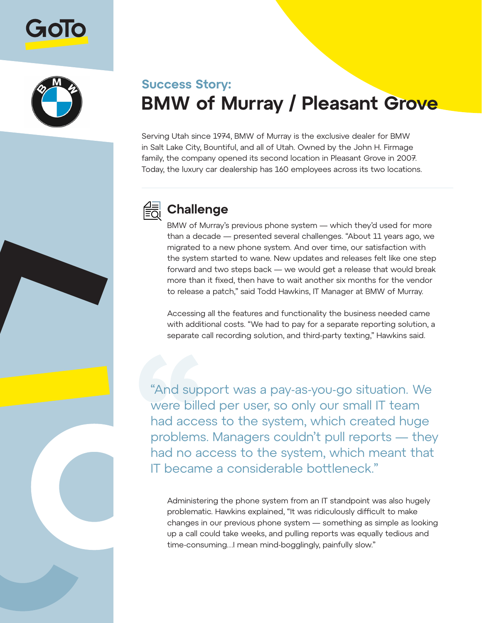



## **Success Story: BMW of Murray / Pleasant Grove**

Serving Utah since 1974, BMW of Murray is the exclusive dealer for BMW in Salt Lake City, Bountiful, and all of Utah. Owned by the John H. Firmage family, the company opened its second location in Pleasant Grove in 2007. Today, the luxury car dealership has 160 employees across its two locations.



## **Challenge**

BMW of Murray's previous phone system — which they'd used for more than a decade — presented several challenges. "About 11 years ago, we migrated to a new phone system. And over time, our satisfaction with the system started to wane. New updates and releases felt like one step forward and two steps back — we would get a release that would break more than it fixed, then have to wait another six months for the vendor to release a patch," said Todd Hawkins, IT Manager at BMW of Murray.

Accessing all the features and functionality the business needed came with additional costs. "We had to pay for a separate reporting solution, a separate call recording solution, and third-party texting," Hawkins said.

"And support was a pay-as-you-go situation. We were billed per user, so only our small IT team had access to the system, which created huge problems. Managers couldn't pull reports — they had no access to the system, which meant that IT became a considerable bottleneck."

Administering the phone system from an IT standpoint was also hugely problematic. Hawkins explained, "It was ridiculously difficult to make changes in our previous phone system — something as simple as looking up a call could take weeks, and pulling reports was equally tedious and time-consuming…I mean mind-bogglingly, painfully slow."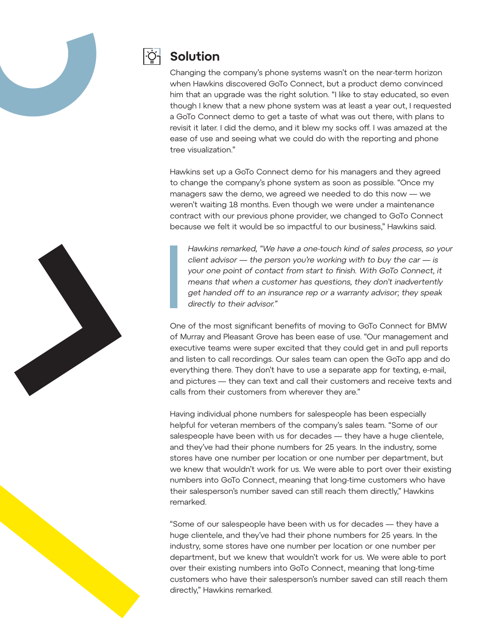



## **Solution**

Changing the company's phone systems wasn't on the near-term horizon when Hawkins discovered GoTo Connect, but a product demo convinced him that an upgrade was the right solution. "I like to stay educated, so even though I knew that a new phone system was at least a year out, I requested a GoTo Connect demo to get a taste of what was out there, with plans to revisit it later. I did the demo, and it blew my socks off. I was amazed at the ease of use and seeing what we could do with the reporting and phone tree visualization."

Hawkins set up a GoTo Connect demo for his managers and they agreed to change the company's phone system as soon as possible. "Once my managers saw the demo, we agreed we needed to do this now — we weren't waiting 18 months. Even though we were under a maintenance contract with our previous phone provider, we changed to GoTo Connect because we felt it would be so impactful to our business," Hawkins said.

Hawkins remarked, "We have a one-touch kind of sales process, so your client advisor  $-$  the person you're working with to buy the car  $-$  is your one point of contact from start to finish. With GoTo Connect, it means that when a customer has questions, they don't inadvertently get handed off to an insurance rep or a warranty advisor; they speak directly to their advisor."

One of the most significant benefits of moving to GoTo Connect for BMW of Murray and Pleasant Grove has been ease of use. "Our management and executive teams were super excited that they could get in and pull reports and listen to call recordings. Our sales team can open the GoTo app and do everything there. They don't have to use a separate app for texting, e-mail, and pictures — they can text and call their customers and receive texts and calls from their customers from wherever they are."

Having individual phone numbers for salespeople has been especially helpful for veteran members of the company's sales team. "Some of our salespeople have been with us for decades — they have a huge clientele, and they've had their phone numbers for 25 years. In the industry, some stores have one number per location or one number per department, but we knew that wouldn't work for us. We were able to port over their existing numbers into GoTo Connect, meaning that long-time customers who have their salesperson's number saved can still reach them directly," Hawkins remarked.

"Some of our salespeople have been with us for decades — they have a huge clientele, and they've had their phone numbers for 25 years. In the industry, some stores have one number per location or one number per department, but we knew that wouldn't work for us. We were able to port over their existing numbers into GoTo Connect, meaning that long-time customers who have their salesperson's number saved can still reach them directly," Hawkins remarked.